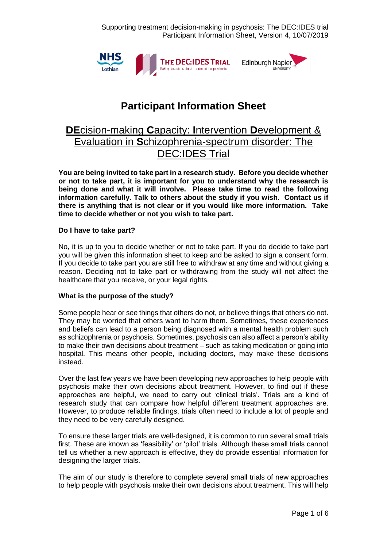Supporting treatment decision-making in psychosis: The DEC:IDES trial Participant Information Sheet, Version 4, 10/07/2019



# **Participant Information Sheet**

## **DE**cision-making **C**apacity: **I**ntervention **D**evelopment & **E**valuation in **S**chizophrenia-spectrum disorder: The DEC:IDES Trial

**You are being invited to take part in a research study. Before you decide whether or not to take part, it is important for you to understand why the research is being done and what it will involve. Please take time to read the following information carefully. Talk to others about the study if you wish. Contact us if there is anything that is not clear or if you would like more information. Take time to decide whether or not you wish to take part.**

## **Do I have to take part?**

No, it is up to you to decide whether or not to take part. If you do decide to take part you will be given this information sheet to keep and be asked to sign a consent form. If you decide to take part you are still free to withdraw at any time and without giving a reason. Deciding not to take part or withdrawing from the study will not affect the healthcare that you receive, or your legal rights.

## **What is the purpose of the study?**

Some people hear or see things that others do not, or believe things that others do not. They may be worried that others want to harm them. Sometimes, these experiences and beliefs can lead to a person being diagnosed with a mental health problem such as schizophrenia or psychosis. Sometimes, psychosis can also affect a person's ability to make their own decisions about treatment – such as taking medication or going into hospital. This means other people, including doctors, may make these decisions instead.

Over the last few years we have been developing new approaches to help people with psychosis make their own decisions about treatment. However, to find out if these approaches are helpful, we need to carry out 'clinical trials'. Trials are a kind of research study that can compare how helpful different treatment approaches are. However, to produce reliable findings, trials often need to include a lot of people and they need to be very carefully designed.

To ensure these larger trials are well-designed, it is common to run several small trials first. These are known as 'feasibility' or 'pilot' trials. Although these small trials cannot tell us whether a new approach is effective, they do provide essential information for designing the larger trials.

The aim of our study is therefore to complete several small trials of new approaches to help people with psychosis make their own decisions about treatment. This will help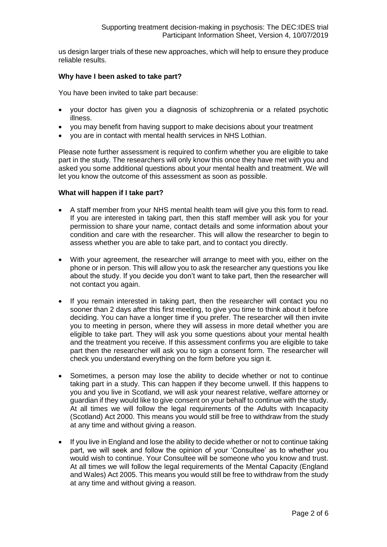us design larger trials of these new approaches, which will help to ensure they produce reliable results.

#### **Why have I been asked to take part?**

You have been invited to take part because:

- your doctor has given you a diagnosis of schizophrenia or a related psychotic illness.
- you may benefit from having support to make decisions about your treatment
- you are in contact with mental health services in NHS Lothian.

Please note further assessment is required to confirm whether you are eligible to take part in the study. The researchers will only know this once they have met with you and asked you some additional questions about your mental health and treatment. We will let you know the outcome of this assessment as soon as possible.

#### **What will happen if I take part?**

- A staff member from your NHS mental health team will give you this form to read. If you are interested in taking part, then this staff member will ask you for your permission to share your name, contact details and some information about your condition and care with the researcher. This will allow the researcher to begin to assess whether you are able to take part, and to contact you directly.
- With your agreement, the researcher will arrange to meet with you, either on the phone or in person. This will allow you to ask the researcher any questions you like about the study. If you decide you don't want to take part, then the researcher will not contact you again.
- If you remain interested in taking part, then the researcher will contact you no sooner than 2 days after this first meeting, to give you time to think about it before deciding. You can have a longer time if you prefer. The researcher will then invite you to meeting in person, where they will assess in more detail whether you are eligible to take part. They will ask you some questions about your mental health and the treatment you receive. If this assessment confirms you are eligible to take part then the researcher will ask you to sign a consent form. The researcher will check you understand everything on the form before you sign it.
- Sometimes, a person may lose the ability to decide whether or not to continue taking part in a study. This can happen if they become unwell. If this happens to you and you live in Scotland, we will ask your nearest relative, welfare attorney or guardian if they would like to give consent on your behalf to continue with the study. At all times we will follow the legal requirements of the Adults with Incapacity (Scotland) Act 2000. This means you would still be free to withdraw from the study at any time and without giving a reason.
- If you live in England and lose the ability to decide whether or not to continue taking part, we will seek and follow the opinion of your 'Consultee' as to whether you would wish to continue. Your Consultee will be someone who you know and trust. At all times we will follow the legal requirements of the Mental Capacity (England and Wales) Act 2005. This means you would still be free to withdraw from the study at any time and without giving a reason.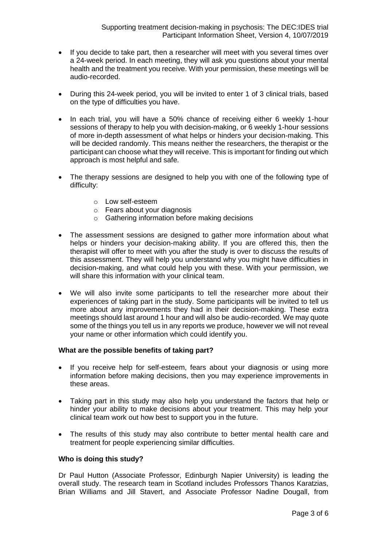- If you decide to take part, then a researcher will meet with you several times over a 24-week period. In each meeting, they will ask you questions about your mental health and the treatment you receive. With your permission, these meetings will be audio-recorded.
- During this 24-week period, you will be invited to enter 1 of 3 clinical trials, based on the type of difficulties you have.
- In each trial, you will have a 50% chance of receiving either 6 weekly 1-hour sessions of therapy to help you with decision-making, or 6 weekly 1-hour sessions of more in-depth assessment of what helps or hinders your decision-making. This will be decided randomly. This means neither the researchers, the therapist or the participant can choose what they will receive. This is important for finding out which approach is most helpful and safe.
- The therapy sessions are designed to help you with one of the following type of difficulty:
	- o Low self-esteem
	- o Fears about your diagnosis
	- o Gathering information before making decisions
- The assessment sessions are designed to gather more information about what helps or hinders your decision-making ability. If you are offered this, then the therapist will offer to meet with you after the study is over to discuss the results of this assessment. They will help you understand why you might have difficulties in decision-making, and what could help you with these. With your permission, we will share this information with your clinical team.
- We will also invite some participants to tell the researcher more about their experiences of taking part in the study. Some participants will be invited to tell us more about any improvements they had in their decision-making. These extra meetings should last around 1 hour and will also be audio-recorded. We may quote some of the things you tell us in any reports we produce, however we will not reveal your name or other information which could identify you.

#### **What are the possible benefits of taking part?**

- If you receive help for self-esteem, fears about your diagnosis or using more information before making decisions, then you may experience improvements in these areas.
- Taking part in this study may also help you understand the factors that help or hinder your ability to make decisions about your treatment. This may help your clinical team work out how best to support you in the future.
- The results of this study may also contribute to better mental health care and treatment for people experiencing similar difficulties.

#### **Who is doing this study?**

Dr Paul Hutton (Associate Professor, Edinburgh Napier University) is leading the overall study. The research team in Scotland includes Professors Thanos Karatzias, Brian Williams and Jill Stavert, and Associate Professor Nadine Dougall, from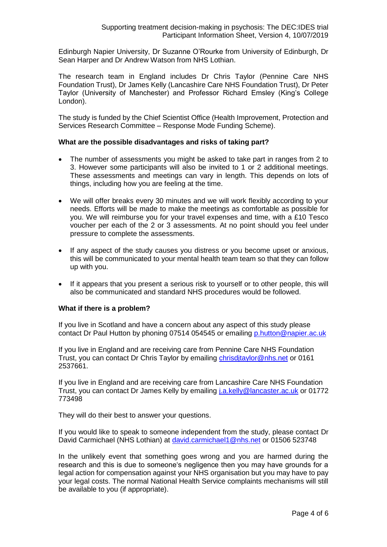Edinburgh Napier University, Dr Suzanne O'Rourke from University of Edinburgh, Dr Sean Harper and Dr Andrew Watson from NHS Lothian.

The research team in England includes Dr Chris Taylor (Pennine Care NHS Foundation Trust), Dr James Kelly (Lancashire Care NHS Foundation Trust), Dr Peter Taylor (University of Manchester) and Professor Richard Emsley (King's College London).

The study is funded by the Chief Scientist Office (Health Improvement, Protection and Services Research Committee – Response Mode Funding Scheme).

#### **What are the possible disadvantages and risks of taking part?**

- The number of assessments you might be asked to take part in ranges from 2 to 3. However some participants will also be invited to 1 or 2 additional meetings. These assessments and meetings can vary in length. This depends on lots of things, including how you are feeling at the time.
- We will offer breaks every 30 minutes and we will work flexibly according to your needs. Efforts will be made to make the meetings as comfortable as possible for you. We will reimburse you for your travel expenses and time, with a £10 Tesco voucher per each of the 2 or 3 assessments. At no point should you feel under pressure to complete the assessments.
- If any aspect of the study causes you distress or you become upset or anxious, this will be communicated to your mental health team team so that they can follow up with you.
- If it appears that you present a serious risk to yourself or to other people, this will also be communicated and standard NHS procedures would be followed.

### **What if there is a problem?**

If you live in Scotland and have a concern about any aspect of this study please contact Dr Paul Hutton by phoning 07514 054545 or emailing [p.hutton@napier.ac.uk](mailto:p.hutton@napier.ac.uk)

If you live in England and are receiving care from Pennine Care NHS Foundation Trust, you can contact Dr Chris Taylor by emailing chrisditaylor@nhs.net or 0161 2537661.

If you live in England and are receiving care from Lancashire Care NHS Foundation Trust, you can contact Dr James Kelly by emailing [j.a.kelly@lancaster.ac.uk](mailto:j.a.kelly@lancaster.ac.uk) or 01772 773498

They will do their best to answer your questions.

If you would like to speak to someone independent from the study, please contact Dr David Carmichael (NHS Lothian) at [david.carmichael1@nhs.net](mailto:david.carmichael1@nhs.net) or 01506 523748

In the unlikely event that something goes wrong and you are harmed during the research and this is due to someone's negligence then you may have grounds for a legal action for compensation against your NHS organisation but you may have to pay your legal costs. The normal National Health Service complaints mechanisms will still be available to you (if appropriate).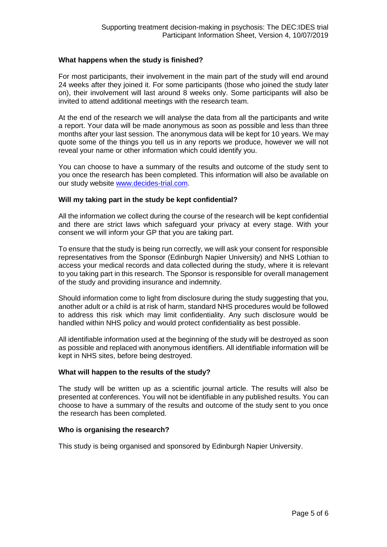#### **What happens when the study is finished?**

For most participants, their involvement in the main part of the study will end around 24 weeks after they joined it. For some participants (those who joined the study later on), their involvement will last around 8 weeks only. Some participants will also be invited to attend additional meetings with the research team.

At the end of the research we will analyse the data from all the participants and write a report. Your data will be made anonymous as soon as possible and less than three months after your last session. The anonymous data will be kept for 10 years. We may quote some of the things you tell us in any reports we produce, however we will not reveal your name or other information which could identify you.

You can choose to have a summary of the results and outcome of the study sent to you once the research has been completed. This information will also be available on our study website www.decides-trial.com.

#### **Will my taking part in the study be kept confidential?**

All the information we collect during the course of the research will be kept confidential and there are strict laws which safeguard your privacy at every stage. With your consent we will inform your GP that you are taking part.

To ensure that the study is being run correctly, we will ask your consent for responsible representatives from the Sponsor (Edinburgh Napier University) and NHS Lothian to access your medical records and data collected during the study, where it is relevant to you taking part in this research. The Sponsor is responsible for overall management of the study and providing insurance and indemnity.

Should information come to light from disclosure during the study suggesting that you, another adult or a child is at risk of harm, standard NHS procedures would be followed to address this risk which may limit confidentiality. Any such disclosure would be handled within NHS policy and would protect confidentiality as best possible.

All identifiable information used at the beginning of the study will be destroyed as soon as possible and replaced with anonymous identifiers. All identifiable information will be kept in NHS sites, before being destroyed.

#### **What will happen to the results of the study?**

The study will be written up as a scientific journal article. The results will also be presented at conferences. You will not be identifiable in any published results. You can choose to have a summary of the results and outcome of the study sent to you once the research has been completed.

#### **Who is organising the research?**

This study is being organised and sponsored by Edinburgh Napier University.